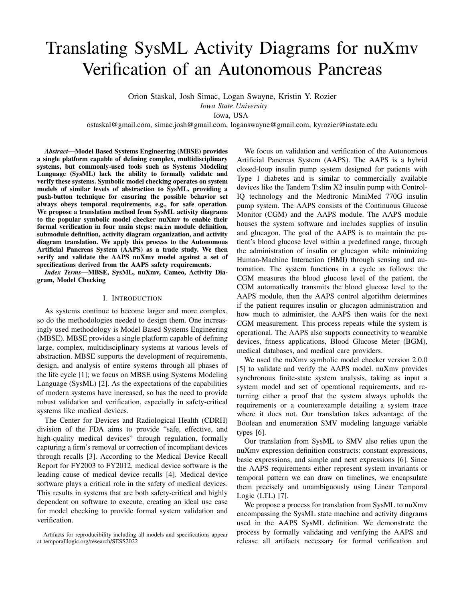# Translating SysML Activity Diagrams for nuXmv Verification of an Autonomous Pancreas

Orion Staskal, Josh Simac, Logan Swayne, Kristin Y. Rozier

*Iowa State University*

Iowa, USA

ostaskal@gmail.com, simac.josh@gmail.com, loganswayne@gmail.com, kyrozier@iastate.edu

*Abstract*—Model Based Systems Engineering (MBSE) provides a single platform capable of defining complex, multidisciplinary systems, but commonly-used tools such as Systems Modeling Language (SysML) lack the ability to formally validate and verify these systems. Symbolic model checking operates on system models of similar levels of abstraction to SysML, providing a push-button technique for ensuring the possible behavior set always obeys temporal requirements, e.g., for safe operation. We propose a translation method from SysML activity diagrams to the popular symbolic model checker nuXmv to enable their formal verification in four main steps: **main** module definition, submodule definition, activity diagram organization, and activity diagram translation. We apply this process to the Autonomous Artificial Pancreas System (AAPS) as a trade study. We then verify and validate the AAPS nuXmv model against a set of specifications derived from the AAPS safety requirements.

*Index Terms*—MBSE, SysML, nuXmv, Cameo, Activity Diagram, Model Checking

#### I. INTRODUCTION

As systems continue to become larger and more complex, so do the methodologies needed to design them. One increasingly used methodology is Model Based Systems Engineering (MBSE). MBSE provides a single platform capable of defining large, complex, multidisciplinary systems at various levels of abstraction. MBSE supports the development of requirements, design, and analysis of entire systems through all phases of the life cycle [\[1\]](#page-5-0); we focus on MBSE using Systems Modeling Language (SysML) [\[2\]](#page-5-1). As the expectations of the capabilities of modern systems have increased, so has the need to provide robust validation and verification, especially in safety-critical systems like medical devices.

The Center for Devices and Radiological Health (CDRH) division of the FDA aims to provide "safe, effective, and high-quality medical devices" through regulation, formally capturing a firm's removal or correction of incompliant devices through recalls [\[3\]](#page-5-2). According to the Medical Device Recall Report for FY2003 to FY2012, medical device software is the leading cause of medical device recalls [\[4\]](#page-5-3). Medical device software plays a critical role in the safety of medical devices. This results in systems that are both safety-critical and highly dependent on software to execute, creating an ideal use case for model checking to provide formal system validation and verification.

We focus on validation and verification of the Autonomous Artificial Pancreas System (AAPS). The AAPS is a hybrid closed-loop insulin pump system designed for patients with Type 1 diabetes and is similar to commercially available devices like the Tandem T:slim X2 insulin pump with Control-IQ technology and the Medtronic MiniMed 770G insulin pump system. The AAPS consists of the Continuous Glucose Monitor (CGM) and the AAPS module. The AAPS module houses the system software and includes supplies of insulin and glucagon. The goal of the AAPS is to maintain the patient's blood glucose level within a predefined range, through the administration of insulin or glucagon while minimizing Human-Machine Interaction (HMI) through sensing and automation. The system functions in a cycle as follows: the CGM measures the blood glucose level of the patient, the CGM automatically transmits the blood glucose level to the AAPS module, then the AAPS control algorithm determines if the patient requires insulin or glucagon administration and how much to administer, the AAPS then waits for the next CGM measurement. This process repeats while the system is operational. The AAPS also supports connectivity to wearable devices, fitness applications, Blood Glucose Meter (BGM), medical databases, and medical care providers.

We used the nuXmv symbolic model checker version  $2.0.0$ [\[5\]](#page-5-4) to validate and verify the AAPS model. nuXmv provides synchronous finite-state system analysis, taking as input a system model and set of operational requirements, and returning either a proof that the system always upholds the requirements or a counterexample detailing a system trace where it does not. Our translation takes advantage of the Boolean and enumeration SMV modeling language variable types [\[6\]](#page-5-5).

Our translation from SysML to SMV also relies upon the nuXmv expression definition constructs: constant expressions, basic expressions, and simple and next expressions [\[6\]](#page-5-5). Since the AAPS requirements either represent system invariants or temporal pattern we can draw on timelines, we encapsulate them precisely and unambiguously using Linear Temporal Logic (LTL) [\[7\]](#page-5-6).

We propose a process for translation from SysML to nuXmv encompassing the SysML state machine and activity diagrams used in the AAPS SysML definition. We demonstrate the process by formally validating and verifying the AAPS and release all artifacts necessary for formal verification and

Artifacts for reproducibility including all models and specifications appear at <temporalllogic.org/research/SESS2022>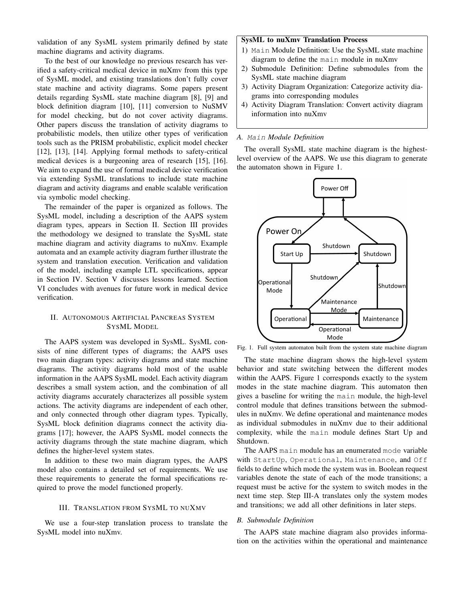validation of any SysML system primarily defined by state machine diagrams and activity diagrams.

To the best of our knowledge no previous research has verified a safety-critical medical device in nuXmv from this type of SysML model, and existing translations don't fully cover state machine and activity diagrams. Some papers present details regarding SysML state machine diagram [\[8\]](#page-5-7), [\[9\]](#page-5-8) and block definition diagram [\[10\]](#page-5-9), [\[11\]](#page-5-10) conversion to NuSMV for model checking, but do not cover activity diagrams. Other papers discuss the translation of activity diagrams to probabilistic models, then utilize other types of verification tools such as the PRISM probabilistic, explicit model checker [\[12\]](#page-5-11), [\[13\]](#page-5-12), [\[14\]](#page-5-13). Applying formal methods to safety-critical medical devices is a burgeoning area of research [\[15\]](#page-5-14), [\[16\]](#page-5-15). We aim to expand the use of formal medical device verification via extending SysML translations to include state machine diagram and activity diagrams and enable scalable verification via symbolic model checking.

The remainder of the paper is organized as follows. The SysML model, including a description of the AAPS system diagram types, appears in Section [II.](#page-1-0) Section [III](#page-1-1) provides the methodology we designed to translate the SysML state machine diagram and activity diagrams to nuXmv. Example automata and an example activity diagram further illustrate the system and translation execution. Verification and validation of the model, including example LTL specifications, appear in Section [IV.](#page-3-0) Section [V](#page-4-0) discusses lessons learned. Section [VI](#page-5-16) concludes with avenues for future work in medical device verification.

# <span id="page-1-0"></span>II. AUTONOMOUS ARTIFICIAL PANCREAS SYSTEM SYSML MODEL

The AAPS system was developed in SysML. SysML consists of nine different types of diagrams; the AAPS uses two main diagram types: activity diagrams and state machine diagrams. The activity diagrams hold most of the usable information in the AAPS SysML model. Each activity diagram describes a small system action, and the combination of all activity diagrams accurately characterizes all possible system actions. The activity diagrams are independent of each other, and only connected through other diagram types. Typically, SysML block definition diagrams connect the activity diagrams [\[17\]](#page-5-17); however, the AAPS SysML model connects the activity diagrams through the state machine diagram, which defines the higher-level system states.

In addition to these two main diagram types, the AAPS model also contains a detailed set of requirements. We use these requirements to generate the formal specifications required to prove the model functioned properly.

## III. TRANSLATION FROM SYSML TO NUXMV

<span id="page-1-1"></span>We use a four-step translation process to translate the SysML model into nuXmv.

# SysML to nuXmv Translation Process

- 1) Main Module Definition: Use the SysML state machine diagram to define the main module in nuXmv
- 2) Submodule Definition: Define submodules from the SysML state machine diagram
- 3) Activity Diagram Organization: Categorize activity diagrams into corresponding modules
- 4) Activity Diagram Translation: Convert activity diagram information into nuXmv

#### <span id="page-1-3"></span>*A.* Main *Module Definition*

The overall SysML state machine diagram is the highestlevel overview of the AAPS. We use this diagram to generate the automaton shown in Figure [1.](#page-1-2)



<span id="page-1-2"></span>Fig. 1. Full system automaton built from the system state machine diagram

The state machine diagram shows the high-level system behavior and state switching between the different modes within the AAPS. Figure [1](#page-1-2) corresponds exactly to the system modes in the state machine diagram. This automaton then gives a baseline for writing the main module, the high-level control module that defines transitions between the submodules in nuXmv. We define operational and maintenance modes as individual submodules in nuXmv due to their additional complexity, while the main module defines Start Up and Shutdown.

The AAPS main module has an enumerated mode variable with StartUp, Operational, Maintenance, and Off fields to define which mode the system was in. Boolean request variables denote the state of each of the mode transitions; a request must be active for the system to switch modes in the next time step. Step [III-A](#page-1-3) translates only the system modes and transitions; we add all other definitions in later steps.

#### *B. Submodule Definition*

The AAPS state machine diagram also provides information on the activities within the operational and maintenance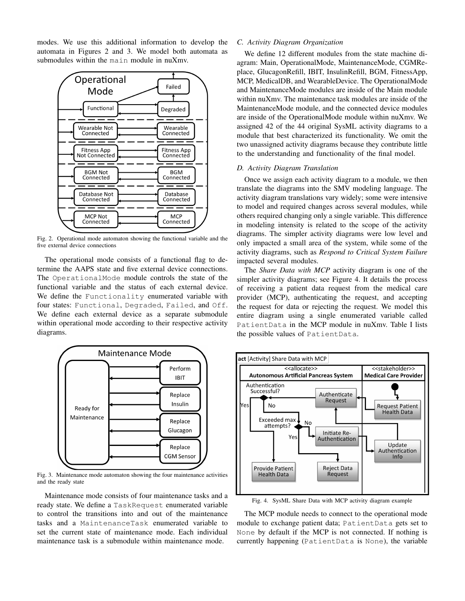modes. We use this additional information to develop the automata in Figures [2](#page-2-0) and [3.](#page-2-1) We model both automata as submodules within the main module in nuXmv.



<span id="page-2-0"></span>Fig. 2. Operational mode automaton showing the functional variable and the five external device connections

The operational mode consists of a functional flag to determine the AAPS state and five external device connections. The OperationalMode module controls the state of the functional variable and the status of each external device. We define the Functionality enumerated variable with four states: Functional, Degraded, Failed, and Off. We define each external device as a separate submodule within operational mode according to their respective activity diagrams.



<span id="page-2-1"></span>Fig. 3. Maintenance mode automaton showing the four maintenance activities and the ready state

Maintenance mode consists of four maintenance tasks and a ready state. We define a TaskRequest enumerated variable to control the transitions into and out of the maintenance tasks and a MaintenanceTask enumerated variable to set the current state of maintenance mode. Each individual maintenance task is a submodule within maintenance mode.

# *C. Activity Diagram Organization*

We define 12 different modules from the state machine diagram: Main, OperationalMode, MaintenanceMode, CGMReplace, GlucagonRefill, IBIT, InsulinRefill, BGM, FitnessApp, MCP, MedicalDB, and WearableDevice. The OperationalMode and MaintenanceMode modules are inside of the Main module within nuXmv. The maintenance task modules are inside of the MaintenanceMode module, and the connected device modules are inside of the OperationalMode module within nuXmv. We assigned 42 of the 44 original SysML activity diagrams to a module that best characterized its functionality. We omit the two unassigned activity diagrams because they contribute little to the understanding and functionality of the final model.

## *D. Activity Diagram Translation*

Once we assign each activity diagram to a module, we then translate the diagrams into the SMV modeling language. The activity diagram translations vary widely; some were intensive to model and required changes across several modules, while others required changing only a single variable. This difference in modeling intensity is related to the scope of the activity diagrams. The simpler activity diagrams were low level and only impacted a small area of the system, while some of the activity diagrams, such as *Respond to Critical System Failure* impacted several modules.

The *Share Data with MCP* activity diagram is one of the simpler activity diagrams; see Figure [4.](#page-2-2) It details the process of receiving a patient data request from the medical care provider (MCP), authenticating the request, and accepting the request for data or rejecting the request. We model this entire diagram using a single enumerated variable called PatientData in the MCP module in nuXmv. Table [I](#page-3-1) lists the possible values of PatientData.



<span id="page-2-2"></span>Fig. 4. SysML Share Data with MCP activity diagram example

The MCP module needs to connect to the operational mode module to exchange patient data; PatientData gets set to None by default if the MCP is not connected. If nothing is currently happening (PatientData is None), the variable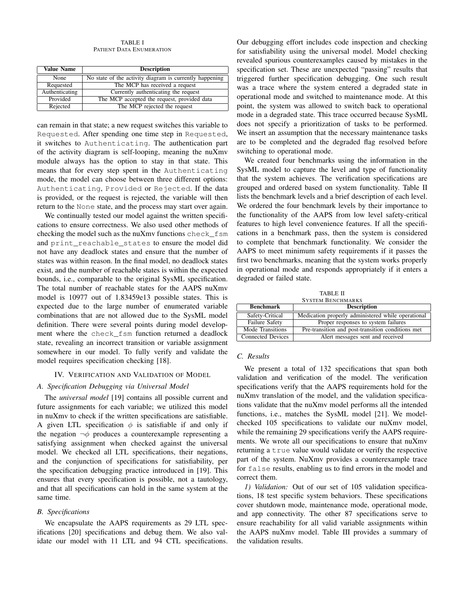TABLE I PATIENT DATA ENUMERATION

<span id="page-3-1"></span>

| <b>Value Name</b> | <b>Description</b>                                      |
|-------------------|---------------------------------------------------------|
| None              | No state of the activity diagram is currently happening |
| Requested         | The MCP has received a request                          |
| Authenticating    | Currently authenticating the request                    |
| Provided          | The MCP accepted the request, provided data             |
| Rejected          | The MCP rejected the request                            |

can remain in that state; a new request switches this variable to Requested. After spending one time step in Requested, it switches to Authenticating. The authentication part of the activity diagram is self-looping, meaning the nuXmv module always has the option to stay in that state. This means that for every step spent in the Authenticating mode, the model can choose between three different options: Authenticating, Provided or Rejected. If the data is provided, or the request is rejected, the variable will then return to the None state, and the process may start over again.

We continually tested our model against the written specifications to ensure correctness. We also used other methods of checking the model such as the nuXmv functions check\_fsm and print\_reachable\_states to ensure the model did not have any deadlock states and ensure that the number of states was within reason. In the final model, no deadlock states exist, and the number of reachable states is within the expected bounds, i.e., comparable to the original SysML specification. The total number of reachable states for the AAPS nuXmv model is 10977 out of 1.83459e13 possible states. This is expected due to the large number of enumerated variable combinations that are not allowed due to the SysML model definition. There were several points during model development where the check\_fsm function returned a deadlock state, revealing an incorrect transition or variable assignment somewhere in our model. To fully verify and validate the model requires specification checking [\[18\]](#page-5-18).

#### IV. VERIFICATION AND VALIDATION OF MODEL

#### <span id="page-3-0"></span>*A. Specification Debugging via Universal Model*

The *universal model* [\[19\]](#page-5-19) contains all possible current and future assignments for each variable; we utilized this model in nuXmv to check if the written specifications are satisfiable. A given LTL specification  $\phi$  is satisfiable if and only if the negation  $\neg \phi$  produces a counterexample representing a satisfying assignment when checked against the universal model. We checked all LTL specifications, their negations, and the conjunction of specifications for satisfiability, per the specification debugging practice introduced in [\[19\]](#page-5-19). This ensures that every specification is possible, not a tautology, and that all specifications can hold in the same system at the same time.

## *B. Specifications*

We encapsulate the AAPS requirements as 29 LTL specifications [\[20\]](#page-5-20) specifications and debug them. We also validate our model with 11 LTL and 94 CTL specifications.

Our debugging effort includes code inspection and checking for satisfiability using the universal model. Model checking revealed spurious counterexamples caused by mistakes in the specification set. These are unexpected "passing" results that triggered further specification debugging. One such result was a trace where the system entered a degraded state in operational mode and switched to maintenance mode. At this point, the system was allowed to switch back to operational mode in a degraded state. This trace occurred because SysML does not specify a prioritization of tasks to be performed. We insert an assumption that the necessary maintenance tasks are to be completed and the degraded flag resolved before switching to operational mode.

We created four benchmarks using the information in the SysML model to capture the level and type of functionality that the system achieves. The verification specifications are grouped and ordered based on system functionality. Table [II](#page-3-2) lists the benchmark levels and a brief description of each level. We ordered the four benchmark levels by their importance to the functionality of the AAPS from low level safety-critical features to high level convenience features. If all the specifications in a benchmark pass, then the system is considered to complete that benchmark functionality. We consider the AAPS to meet minimum safety requirements if it passes the first two benchmarks, meaning that the system works properly in operational mode and responds appropriately if it enters a degraded or failed state.

TABLE II SYSTEM BENCHMARKS

<span id="page-3-2"></span>

| <b>Benchmark</b>         | <b>Description</b>                                 |
|--------------------------|----------------------------------------------------|
| Safety-Critical          | Medication properly administered while operational |
| Failure Safety           | Proper responses to system failures                |
| Mode Transitions         | Pre-transition and post-transition conditions met  |
| <b>Connected Devices</b> | Alert messages sent and received                   |

## *C. Results*

We present a total of 132 specifications that span both validation and verification of the model. The verification specifications verify that the AAPS requirements hold for the nuXmv translation of the model, and the validation specifications validate that the nuXmv model performs all the intended functions, i.e., matches the SysML model [\[21\]](#page-5-21). We modelchecked 105 specifications to validate our nuXmv model, while the remaining 29 specifications verify the AAPS requirements. We wrote all our specifications to ensure that nuXmv returning a true value would validate or verify the respective part of the system. NuXmv provides a counterexample trace for false results, enabling us to find errors in the model and correct them.

*1) Validation:* Out of our set of 105 validation specifications, 18 test specific system behaviors. These specifications cover shutdown mode, maintenance mode, operational mode, and app connectivity. The other 87 specifications serve to ensure reachability for all valid variable assignments within the AAPS nuXmv model. Table [III](#page-4-1) provides a summary of the validation results.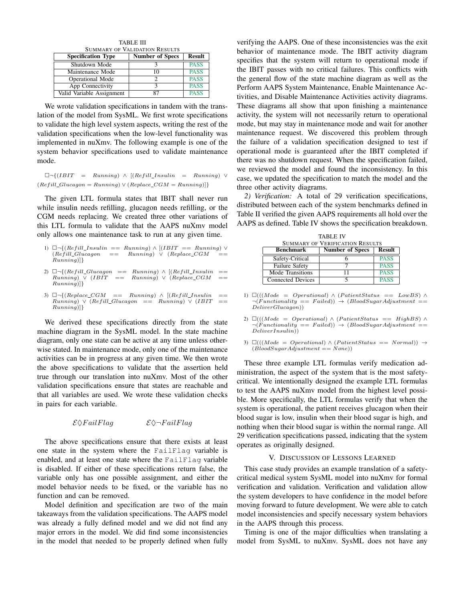TABLE III SUMMARY OF VALIDATION RESULTS

<span id="page-4-1"></span>

| <b>Specification Type</b> | <b>Number of Specs</b> | <b>Result</b> |
|---------------------------|------------------------|---------------|
| Shutdown Mode             |                        | <b>PASS</b>   |
| Maintenance Mode          |                        | <b>PASS</b>   |
| <b>Operational Mode</b>   |                        | <b>PASS</b>   |
| App Connectivity          |                        | <b>PASS</b>   |
| Valid Variable Assignment | 87                     | <b>PASS</b>   |

We wrote validation specifications in tandem with the translation of the model from SysML. We first wrote specifications to validate the high level system aspects, writing the rest of the validation specifications when the low-level functionality was implemented in nuXmv. The following example is one of the system behavior specifications used to validate maintenance mode.

 $\Box \neg \{(IBIT = Running) \land [(Refill\_Insulin = Running) \lor$  $(Refill\_Glucagon = Running) \vee (Replace\_CGM = Running)]$ 

The given LTL formula states that IBIT shall never run while insulin needs refilling, glucagon needs refilling, or the CGM needs replacing. We created three other variations of this LTL formula to validate that the AAPS nuXmv model only allows one maintenance task to run at any given time.

| 1) $\Box \neg \{ (Refill\_Insulin == Running) \land [(IBIT == Running) \lor$ |     |                                |  |     |
|------------------------------------------------------------------------------|-----|--------------------------------|--|-----|
| $(Refill\_Glucagon)$                                                         | $=$ | $Running) \vee (Replace\_CGM)$ |  | $=$ |
| Running)                                                                     |     |                                |  |     |

- 2)  $\Box \neg \{ (Refill\_Glucagon == Running) \wedge [(Refill\_Insulin ==)$  $Running) \vee (IBIT == Running) \vee (Replace\_CGM ==$  $Running$
- 3)  $\Box \neg \{ (Replace\_CGM == Running) \land [(Refill\_Insulin ==)$  $Running) \vee (Refill\_Glucagon \ == \^n Running) \vee (IBIT \ == \dots)$  $Running$  $\{$

We derived these specifications directly from the state machine diagram in the SysML model. In the state machine diagram, only one state can be active at any time unless otherwise stated. In maintenance mode, only one of the maintenance activities can be in progress at any given time. We then wrote the above specifications to validate that the assertion held true through our translation into nuXmv. Most of the other validation specifications ensure that states are reachable and that all variables are used. We wrote these validation checks in pairs for each variable.

 $\mathcal{E} \Diamond FallFlag$   $\mathcal{E} \Diamond \neg FallFlag$ 

The above specifications ensure that there exists at least one state in the system where the FailFlag variable is enabled, and at least one state where the FailFlag variable is disabled. If either of these specifications return false, the variable only has one possible assignment, and either the model behavior needs to be fixed, or the variable has no function and can be removed.

Model definition and specification are two of the main takeaways from the validation specifications. The AAPS model was already a fully defined model and we did not find any major errors in the model. We did find some inconsistencies in the model that needed to be properly defined when fully

verifying the AAPS. One of these inconsistencies was the exit behavior of maintenance mode. The IBIT activity diagram specifies that the system will return to operational mode if the IBIT passes with no critical failures. This conflicts with the general flow of the state machine diagram as well as the Perform AAPS System Maintenance, Enable Maintenance Activities, and Disable Maintenance Activities activity diagrams. These diagrams all show that upon finishing a maintenance activity, the system will not necessarily return to operational mode, but may stay in maintenance mode and wait for another maintenance request. We discovered this problem through the failure of a validation specification designed to test if operational mode is guaranteed after the IBIT completed if there was no shutdown request. When the specification failed, we reviewed the model and found the inconsistency. In this case, we updated the specification to match the model and the three other activity diagrams.

*2) Verification:* A total of 29 verification specifications, distributed between each of the system benchmarks defined in Table [II](#page-3-2) verified the given AAPS requirements all hold over the AAPS as defined. Table [IV](#page-4-2) shows the specification breakdown.

<span id="page-4-2"></span>

| <b>TABLE IV</b>                        |                        |               |  |  |
|----------------------------------------|------------------------|---------------|--|--|
| <b>SUMMARY OF VERIFICATION RESULTS</b> |                        |               |  |  |
| <b>Benchmark</b>                       | <b>Number of Specs</b> | <b>Result</b> |  |  |
| Safety-Critical                        |                        | <b>PASS</b>   |  |  |
| Failure Safety                         |                        | <b>PASS</b>   |  |  |
| Mode Transitions                       | 11                     | <b>PASS</b>   |  |  |
| Connected Devices                      |                        | <b>PASS</b>   |  |  |

1)  $\Box (((Mode = Operational) \land (PatientStatus == LowBS) \land ...)$  $\neg(Functionality == Failed)) \rightarrow (BloodSugarAdjustment ==$  $D$ eliverGlucagon))

2)  $\Box (((Mode = Operational) \land (PatternStatus == HighBS) \land$  $\neg(\overleftrightarrow{Functionality} == \text{ failed})) \rightarrow (\text{BloodSugarAdjustment} ==$  $DeliverInsulin$ )

3)  $\Box (((Mode = Operational) \land (PatientStatus == Normal)) \rightarrow$  $(BloodSugarAdjustment == None)$ 

These three example LTL formulas verify medication administration, the aspect of the system that is the most safetycritical. We intentionally designed the example LTL formulas to test the AAPS nuXmv model from the highest level possible. More specifically, the LTL formulas verify that when the system is operational, the patient receives glucagon when their blood sugar is low, insulin when their blood sugar is high, and nothing when their blood sugar is within the normal range. All 29 verification specifications passed, indicating that the system operates as originally designed.

## V. DISCUSSION OF LESSONS LEARNED

<span id="page-4-0"></span>This case study provides an example translation of a safetycritical medical system SysML model into nuXmv for formal verification and validation. Verification and validation allow the system developers to have confidence in the model before moving forward to future development. We were able to catch model inconsistencies and specify necessary system behaviors in the AAPS through this process.

Timing is one of the major difficulties when translating a model from SysML to nuXmv. SysML does not have any